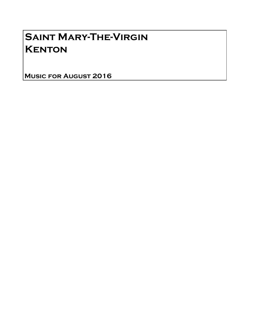## Saint Mary-The-Virgin **KENTON**

Music for August 2016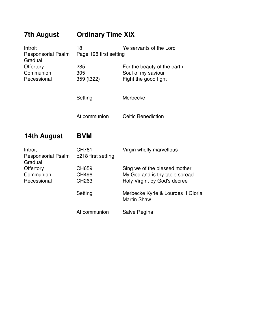| <b>7th August</b>                                                                        | <b>Ordinary Time XIX</b>                                |                                                                                                 |
|------------------------------------------------------------------------------------------|---------------------------------------------------------|-------------------------------------------------------------------------------------------------|
| Introit<br><b>Responsorial Psalm</b><br>Gradual<br>Offertory<br>Communion<br>Recessional | 18<br>Ye servants of the Lord<br>Page 198 first setting |                                                                                                 |
|                                                                                          | 285<br>305<br>359 (t322)                                | For the beauty of the earth<br>Soul of my saviour<br>Fight the good fight                       |
|                                                                                          | Setting                                                 | Merbecke                                                                                        |
|                                                                                          | At communion                                            | <b>Celtic Benediction</b>                                                                       |
| 14th August                                                                              | <b>BVM</b>                                              |                                                                                                 |
| Introit<br><b>Responsorial Psalm</b><br>Gradual                                          | CH761<br>p218 first setting                             | Virgin wholly marvellous                                                                        |
| Offertory<br>Communion<br>Recessional                                                    | CH659<br><b>CH496</b><br>CH263                          | Sing we of the blessed mother<br>My God and is thy table spread<br>Holy Virgin, by God's decree |
|                                                                                          | Setting                                                 | Merbecke Kyrie & Lourdes II Gloria<br><b>Martin Shaw</b>                                        |
|                                                                                          | At communion                                            | Salve Regina                                                                                    |
|                                                                                          |                                                         |                                                                                                 |